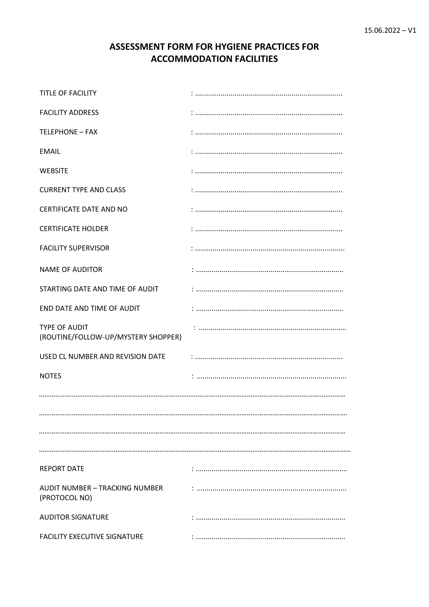# ASSESSMENT FORM FOR HYGIENE PRACTICES FOR **ACCOMMODATION FACILITIES**

| TITLE OF FACILITY                                           |  |
|-------------------------------------------------------------|--|
| <b>FACILITY ADDRESS</b>                                     |  |
| <b>TELEPHONE - FAX</b>                                      |  |
| <b>EMAIL</b>                                                |  |
| <b>WEBSITE</b>                                              |  |
| <b>CURRENT TYPE AND CLASS</b>                               |  |
| CERTIFICATE DATE AND NO                                     |  |
| <b>CERTIFICATE HOLDER</b>                                   |  |
| <b>FACILITY SUPERVISOR</b>                                  |  |
| <b>NAME OF AUDITOR</b>                                      |  |
| STARTING DATE AND TIME OF AUDIT                             |  |
| END DATE AND TIME OF AUDIT                                  |  |
| <b>TYPE OF AUDIT</b><br>(ROUTINE/FOLLOW-UP/MYSTERY SHOPPER) |  |
| USED CL NUMBER AND REVISION DATE                            |  |
| <b>NOTES</b>                                                |  |
|                                                             |  |
|                                                             |  |
|                                                             |  |
|                                                             |  |
| <b>REPORT DATE</b>                                          |  |
| AUDIT NUMBER - TRACKING NUMBER<br>(PROTOCOL NO)             |  |
| <b>AUDITOR SIGNATURE</b>                                    |  |
| FACILITY EXECUTIVE SIGNATURE                                |  |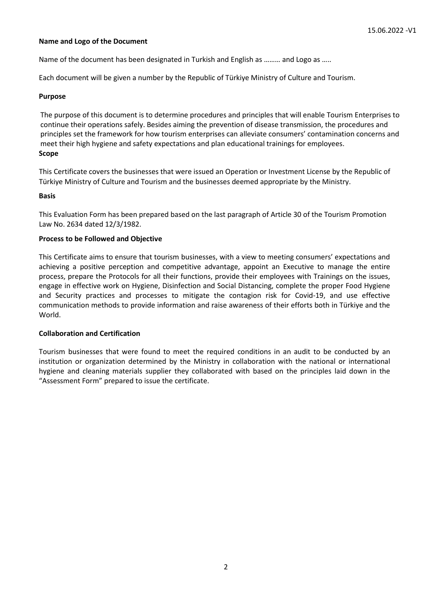#### **Name and Logo of the Document**

Name of the document has been designated in Turkish and English as ……… and Logo as …..

Each document will be given a number by the Republic of Türkiye Ministry of Culture and Tourism.

#### **Purpose**

The purpose of this document is to determine procedures and principles that will enable Tourism Enterprises to continue their operations safely. Besides aiming the prevention of disease transmission, the procedures and principles set the framework for how tourism enterprises can alleviate consumers' contamination concerns and meet their high hygiene and safety expectations and plan educational trainings for employees. **Scope**

This Certificate covers the businesses that were issued an Operation or Investment License by the Republic of Türkiye Ministry of Culture and Tourism and the businesses deemed appropriate by the Ministry.

#### **Basis**

This Evaluation Form has been prepared based on the last paragraph of Article 30 of the Tourism Promotion Law No. 2634 dated 12/3/1982.

#### **Process to be Followed and Objective**

This Certificate aims to ensure that tourism businesses, with a view to meeting consumers' expectations and achieving a positive perception and competitive advantage, appoint an Executive to manage the entire process, prepare the Protocols for all their functions, provide their employees with Trainings on the issues, engage in effective work on Hygiene, Disinfection and Social Distancing, complete the proper Food Hygiene and Security practices and processes to mitigate the contagion risk for Covid-19, and use effective communication methods to provide information and raise awareness of their efforts both in Türkiye and the World.

#### **Collaboration and Certification**

Tourism businesses that were found to meet the required conditions in an audit to be conducted by an institution or organization determined by the Ministry in collaboration with the national or international hygiene and cleaning materials supplier they collaborated with based on the principles laid down in the "Assessment Form" prepared to issue the certificate.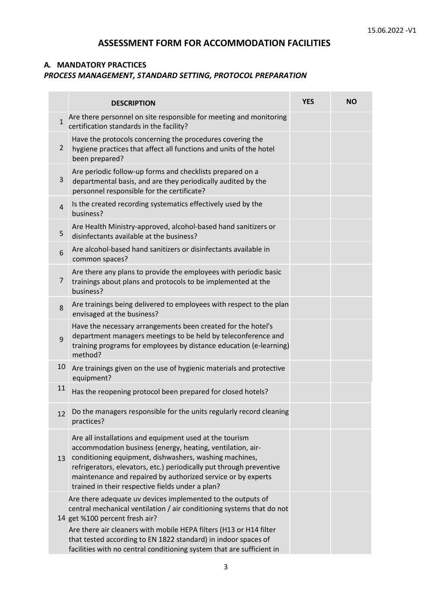# **ASSESSMENT FORM FOR ACCOMMODATION FACILITIES**

#### **A. MANDATORY PRACTICES** *PROCESS MANAGEMENT, STANDARD SETTING, PROTOCOL PREPARATION*

|                | <b>DESCRIPTION</b>                                                                                                                                                                                                                                                                                                                                                                      | <b>YES</b> | <b>NO</b> |
|----------------|-----------------------------------------------------------------------------------------------------------------------------------------------------------------------------------------------------------------------------------------------------------------------------------------------------------------------------------------------------------------------------------------|------------|-----------|
| $\mathbf{1}$   | Are there personnel on site responsible for meeting and monitoring<br>certification standards in the facility?                                                                                                                                                                                                                                                                          |            |           |
| 2              | Have the protocols concerning the procedures covering the<br>hygiene practices that affect all functions and units of the hotel<br>been prepared?                                                                                                                                                                                                                                       |            |           |
| 3              | Are periodic follow-up forms and checklists prepared on a<br>departmental basis, and are they periodically audited by the<br>personnel responsible for the certificate?                                                                                                                                                                                                                 |            |           |
| $\overline{4}$ | Is the created recording systematics effectively used by the<br>business?                                                                                                                                                                                                                                                                                                               |            |           |
| 5              | Are Health Ministry-approved, alcohol-based hand sanitizers or<br>disinfectants available at the business?                                                                                                                                                                                                                                                                              |            |           |
| 6              | Are alcohol-based hand sanitizers or disinfectants available in<br>common spaces?                                                                                                                                                                                                                                                                                                       |            |           |
| $\overline{7}$ | Are there any plans to provide the employees with periodic basic<br>trainings about plans and protocols to be implemented at the<br>business?                                                                                                                                                                                                                                           |            |           |
| 8              | Are trainings being delivered to employees with respect to the plan<br>envisaged at the business?                                                                                                                                                                                                                                                                                       |            |           |
| 9              | Have the necessary arrangements been created for the hotel's<br>department managers meetings to be held by teleconference and<br>training programs for employees by distance education (e-learning)<br>method?                                                                                                                                                                          |            |           |
| 10             | Are trainings given on the use of hygienic materials and protective<br>equipment?                                                                                                                                                                                                                                                                                                       |            |           |
| 11             | Has the reopening protocol been prepared for closed hotels?                                                                                                                                                                                                                                                                                                                             |            |           |
| 12             | Do the managers responsible for the units regularly record cleaning<br>practices?                                                                                                                                                                                                                                                                                                       |            |           |
| 13             | Are all installations and equipment used at the tourism<br>accommodation business (energy, heating, ventilation, air-<br>conditioning equipment, dishwashers, washing machines,<br>refrigerators, elevators, etc.) periodically put through preventive<br>maintenance and repaired by authorized service or by experts<br>trained in their respective fields under a plan?              |            |           |
|                | Are there adequate uv devices implemented to the outputs of<br>central mechanical ventilation / air conditioning systems that do not<br>14 get %100 percent fresh air?<br>Are there air cleaners with mobile HEPA filters (H13 or H14 filter<br>that tested according to EN 1822 standard) in indoor spaces of<br>facilities with no central conditioning system that are sufficient in |            |           |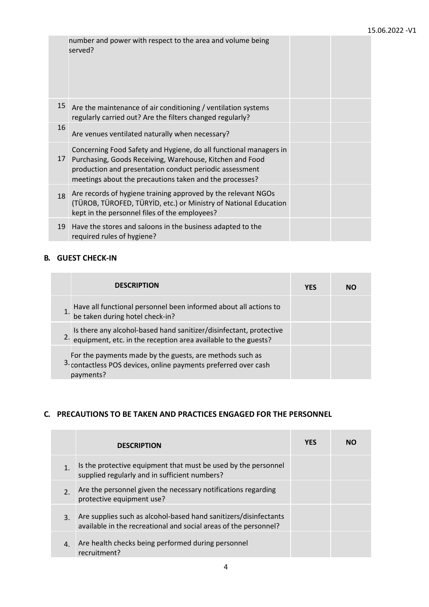|    | number and power with respect to the area and volume being<br>served?                                                                                                                                                                               |  |
|----|-----------------------------------------------------------------------------------------------------------------------------------------------------------------------------------------------------------------------------------------------------|--|
| 15 | Are the maintenance of air conditioning / ventilation systems<br>regularly carried out? Are the filters changed regularly?                                                                                                                          |  |
| 16 | Are venues ventilated naturally when necessary?                                                                                                                                                                                                     |  |
| 17 | Concerning Food Safety and Hygiene, do all functional managers in<br>Purchasing, Goods Receiving, Warehouse, Kitchen and Food<br>production and presentation conduct periodic assessment<br>meetings about the precautions taken and the processes? |  |
| 18 | Are records of hygiene training approved by the relevant NGOs<br>(TÜROB, TÜROFED, TÜRYİD, etc.) or Ministry of National Education<br>kept in the personnel files of the employees?                                                                  |  |
| 19 | Have the stores and saloons in the business adapted to the<br>required rules of hygiene?                                                                                                                                                            |  |

### **B. GUEST CHECK-IN**

| <b>DESCRIPTION</b>                                                                                                                                 | <b>YES</b> | NΩ |
|----------------------------------------------------------------------------------------------------------------------------------------------------|------------|----|
| Have all functional personnel been informed about all actions to<br>be taken during hotel check-in?                                                |            |    |
| Is there any alcohol-based hand sanitizer/disinfectant, protective<br><sup>2.</sup> equipment, etc. in the reception area available to the guests? |            |    |
| For the payments made by the guests, are methods such as<br>3. contactless POS devices, online payments preferred over cash<br>payments?           |            |    |

# **C. PRECAUTIONS TO BE TAKEN AND PRACTICES ENGAGED FOR THE PERSONNEL**

|                  | <b>DESCRIPTION</b>                                                                                                                   | <b>YES</b> | NO |
|------------------|--------------------------------------------------------------------------------------------------------------------------------------|------------|----|
|                  | Is the protective equipment that must be used by the personnel<br>supplied regularly and in sufficient numbers?                      |            |    |
| $\overline{2}$ . | Are the personnel given the necessary notifications regarding<br>protective equipment use?                                           |            |    |
| 3.               | Are supplies such as alcohol-based hand sanitizers/disinfectants<br>available in the recreational and social areas of the personnel? |            |    |
| $\overline{4}$ . | Are health checks being performed during personnel<br>recruitment?                                                                   |            |    |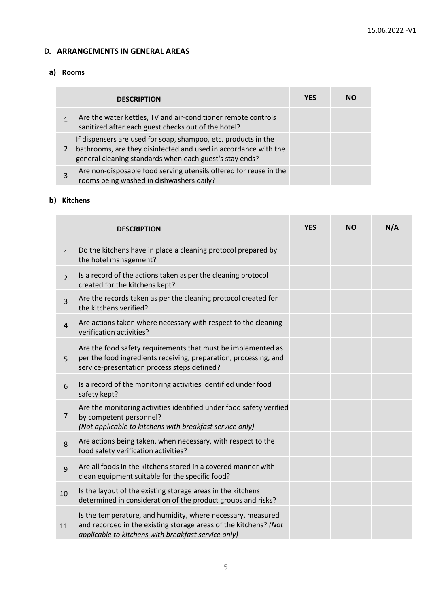#### **D. ARRANGEMENTS IN GENERAL AREAS**

### **a) Rooms**

| <b>DESCRIPTION</b>                                                                                                                                                                           | <b>YFS</b> | NΟ |
|----------------------------------------------------------------------------------------------------------------------------------------------------------------------------------------------|------------|----|
| Are the water kettles, TV and air-conditioner remote controls<br>sanitized after each guest checks out of the hotel?                                                                         |            |    |
| If dispensers are used for soap, shampoo, etc. products in the<br>bathrooms, are they disinfected and used in accordance with the<br>general cleaning standards when each guest's stay ends? |            |    |
| Are non-disposable food serving utensils offered for reuse in the<br>rooms being washed in dishwashers daily?                                                                                |            |    |

# **b) Kitchens**

|                | <b>DESCRIPTION</b>                                                                                                                                                                     | <b>YES</b> | <b>NO</b> | N/A |
|----------------|----------------------------------------------------------------------------------------------------------------------------------------------------------------------------------------|------------|-----------|-----|
| $\mathbf{1}$   | Do the kitchens have in place a cleaning protocol prepared by<br>the hotel management?                                                                                                 |            |           |     |
| $\overline{2}$ | Is a record of the actions taken as per the cleaning protocol<br>created for the kitchens kept?                                                                                        |            |           |     |
| 3              | Are the records taken as per the cleaning protocol created for<br>the kitchens verified?                                                                                               |            |           |     |
| $\overline{4}$ | Are actions taken where necessary with respect to the cleaning<br>verification activities?                                                                                             |            |           |     |
| 5              | Are the food safety requirements that must be implemented as<br>per the food ingredients receiving, preparation, processing, and<br>service-presentation process steps defined?        |            |           |     |
| 6              | Is a record of the monitoring activities identified under food<br>safety kept?                                                                                                         |            |           |     |
| $\overline{7}$ | Are the monitoring activities identified under food safety verified<br>by competent personnel?<br>(Not applicable to kitchens with breakfast service only)                             |            |           |     |
| 8              | Are actions being taken, when necessary, with respect to the<br>food safety verification activities?                                                                                   |            |           |     |
| 9              | Are all foods in the kitchens stored in a covered manner with<br>clean equipment suitable for the specific food?                                                                       |            |           |     |
| 10             | Is the layout of the existing storage areas in the kitchens<br>determined in consideration of the product groups and risks?                                                            |            |           |     |
| 11             | Is the temperature, and humidity, where necessary, measured<br>and recorded in the existing storage areas of the kitchens? (Not<br>applicable to kitchens with breakfast service only) |            |           |     |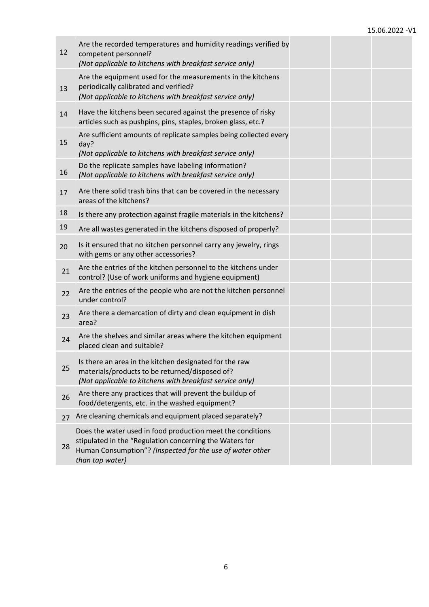| 12 | Are the recorded temperatures and humidity readings verified by<br>competent personnel?<br>(Not applicable to kitchens with breakfast service only)                                                   |  |  |
|----|-------------------------------------------------------------------------------------------------------------------------------------------------------------------------------------------------------|--|--|
| 13 | Are the equipment used for the measurements in the kitchens<br>periodically calibrated and verified?<br>(Not applicable to kitchens with breakfast service only)                                      |  |  |
| 14 | Have the kitchens been secured against the presence of risky<br>articles such as pushpins, pins, staples, broken glass, etc.?                                                                         |  |  |
| 15 | Are sufficient amounts of replicate samples being collected every<br>day?<br>(Not applicable to kitchens with breakfast service only)                                                                 |  |  |
| 16 | Do the replicate samples have labeling information?<br>(Not applicable to kitchens with breakfast service only)                                                                                       |  |  |
| 17 | Are there solid trash bins that can be covered in the necessary<br>areas of the kitchens?                                                                                                             |  |  |
| 18 | Is there any protection against fragile materials in the kitchens?                                                                                                                                    |  |  |
| 19 | Are all wastes generated in the kitchens disposed of properly?                                                                                                                                        |  |  |
| 20 | Is it ensured that no kitchen personnel carry any jewelry, rings<br>with gems or any other accessories?                                                                                               |  |  |
| 21 | Are the entries of the kitchen personnel to the kitchens under<br>control? (Use of work uniforms and hygiene equipment)                                                                               |  |  |
| 22 | Are the entries of the people who are not the kitchen personnel<br>under control?                                                                                                                     |  |  |
| 23 | Are there a demarcation of dirty and clean equipment in dish<br>area?                                                                                                                                 |  |  |
| 24 | Are the shelves and similar areas where the kitchen equipment<br>placed clean and suitable?                                                                                                           |  |  |
| 25 | Is there an area in the kitchen designated for the raw<br>materials/products to be returned/disposed of?<br>(Not applicable to kitchens with breakfast service only)                                  |  |  |
| 26 | Are there any practices that will prevent the buildup of<br>food/detergents, etc. in the washed equipment?                                                                                            |  |  |
| 27 | Are cleaning chemicals and equipment placed separately?                                                                                                                                               |  |  |
| 28 | Does the water used in food production meet the conditions<br>stipulated in the "Regulation concerning the Waters for<br>Human Consumption"? (Inspected for the use of water other<br>than tap water) |  |  |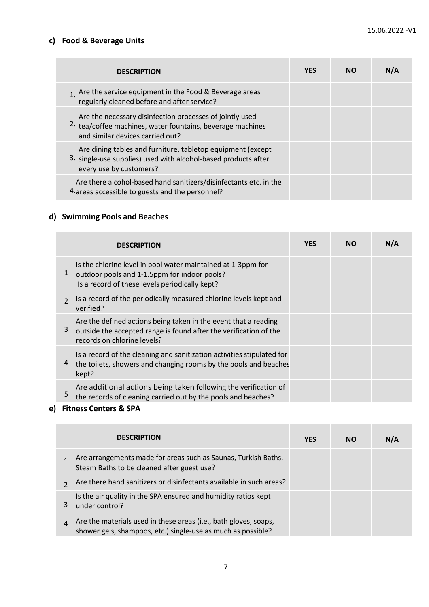# **c) Food & Beverage Units**

| <b>DESCRIPTION</b>                                                                                                                                         | <b>YES</b> | <b>NO</b> | N/A |
|------------------------------------------------------------------------------------------------------------------------------------------------------------|------------|-----------|-----|
| $1$ Are the service equipment in the Food & Beverage areas<br>regularly cleaned before and after service?                                                  |            |           |     |
| Are the necessary disinfection processes of jointly used<br>2. tea/coffee machines, water fountains, beverage machines<br>and similar devices carried out? |            |           |     |
| Are dining tables and furniture, tabletop equipment (except<br>3. single-use supplies) used with alcohol-based products after<br>every use by customers?   |            |           |     |
| Are there alcohol-based hand sanitizers/disinfectants etc. in the<br>4. areas accessible to guests and the personnel?                                      |            |           |     |

# **d) Swimming Pools and Beaches**

|                | <b>DESCRIPTION</b>                                                                                                                                                  | <b>YES</b> | <b>NO</b> | N/A |
|----------------|---------------------------------------------------------------------------------------------------------------------------------------------------------------------|------------|-----------|-----|
| 1              | Is the chlorine level in pool water maintained at 1-3ppm for<br>outdoor pools and 1-1.5ppm for indoor pools?<br>Is a record of these levels periodically kept?      |            |           |     |
| $\overline{2}$ | Is a record of the periodically measured chlorine levels kept and<br>verified?                                                                                      |            |           |     |
| 3              | Are the defined actions being taken in the event that a reading<br>outside the accepted range is found after the verification of the<br>records on chlorine levels? |            |           |     |
| 4              | Is a record of the cleaning and sanitization activities stipulated for<br>the toilets, showers and changing rooms by the pools and beaches<br>kept?                 |            |           |     |
| 5              | Are additional actions being taken following the verification of<br>the records of cleaning carried out by the pools and beaches?                                   |            |           |     |

# **e) Fitness Centers & SPA**

|   | <b>DESCRIPTION</b>                                                                                                               | <b>YES</b> | <b>NO</b> | N/A |
|---|----------------------------------------------------------------------------------------------------------------------------------|------------|-----------|-----|
|   | Are arrangements made for areas such as Saunas, Turkish Baths,<br>Steam Baths to be cleaned after guest use?                     |            |           |     |
|   | Are there hand sanitizers or disinfectants available in such areas?                                                              |            |           |     |
|   | Is the air quality in the SPA ensured and humidity ratios kept<br>under control?                                                 |            |           |     |
| 4 | Are the materials used in these areas (i.e., bath gloves, soaps,<br>shower gels, shampoos, etc.) single-use as much as possible? |            |           |     |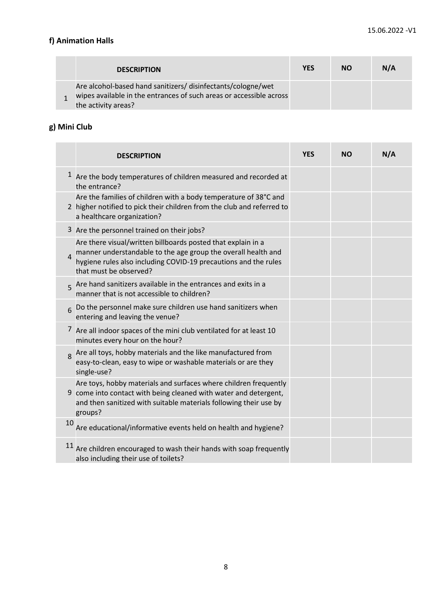# **f) Animation Halls**

| <b>DESCRIPTION</b>                                                                                                                                         | <b>YES</b> | <b>NO</b> | N/A |
|------------------------------------------------------------------------------------------------------------------------------------------------------------|------------|-----------|-----|
| Are alcohol-based hand sanitizers/ disinfectants/cologne/wet<br>wipes available in the entrances of such areas or accessible across<br>the activity areas? |            |           |     |

# **g) Mini Club**

|    | <b>DESCRIPTION</b>                                                                                                                                                                                                         | <b>YES</b> | <b>NO</b> | N/A |
|----|----------------------------------------------------------------------------------------------------------------------------------------------------------------------------------------------------------------------------|------------|-----------|-----|
|    | Are the body temperatures of children measured and recorded at<br>the entrance?                                                                                                                                            |            |           |     |
|    | Are the families of children with a body temperature of 38°C and<br>2 higher notified to pick their children from the club and referred to<br>a healthcare organization?                                                   |            |           |     |
|    | 3 Are the personnel trained on their jobs?                                                                                                                                                                                 |            |           |     |
| 4  | Are there visual/written billboards posted that explain in a<br>manner understandable to the age group the overall health and<br>hygiene rules also including COVID-19 precautions and the rules<br>that must be observed? |            |           |     |
| 5  | Are hand sanitizers available in the entrances and exits in a<br>manner that is not accessible to children?                                                                                                                |            |           |     |
| 6  | Do the personnel make sure children use hand sanitizers when<br>entering and leaving the venue?                                                                                                                            |            |           |     |
|    | 7 Are all indoor spaces of the mini club ventilated for at least 10<br>minutes every hour on the hour?                                                                                                                     |            |           |     |
| 8  | Are all toys, hobby materials and the like manufactured from<br>easy-to-clean, easy to wipe or washable materials or are they<br>single-use?                                                                               |            |           |     |
| 9  | Are toys, hobby materials and surfaces where children frequently<br>come into contact with being cleaned with water and detergent,<br>and then sanitized with suitable materials following their use by<br>groups?         |            |           |     |
| 10 | Are educational/informative events held on health and hygiene?                                                                                                                                                             |            |           |     |
|    | $11$ Are children encouraged to wash their hands with soap frequently<br>also including their use of toilets?                                                                                                              |            |           |     |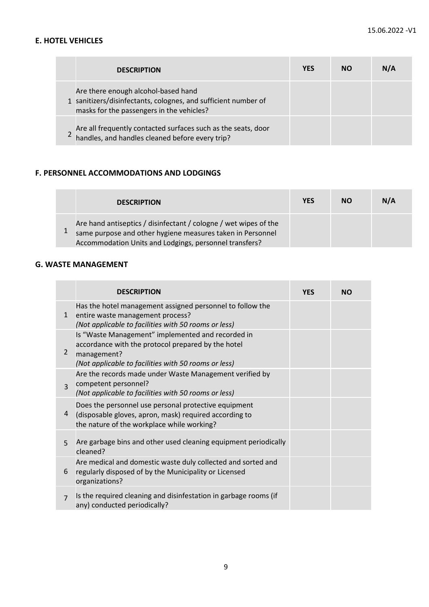## **E. HOTEL VEHICLES**

| <b>DESCRIPTION</b>                                                                                                                                 | <b>YES</b> | <b>NO</b> | N/A |
|----------------------------------------------------------------------------------------------------------------------------------------------------|------------|-----------|-----|
| Are there enough alcohol-based hand<br>1 sanitizers/disinfectants, colognes, and sufficient number of<br>masks for the passengers in the vehicles? |            |           |     |
| Are all frequently contacted surfaces such as the seats, door handles, and handles cleaned before every trip?                                      |            |           |     |

### **F. PERSONNEL ACCOMMODATIONS AND LODGINGS**

| <b>DESCRIPTION</b>                                                                                                                                                                       | <b>YES</b> | <b>NO</b> | N/A |
|------------------------------------------------------------------------------------------------------------------------------------------------------------------------------------------|------------|-----------|-----|
| Are hand antiseptics / disinfectant / cologne / wet wipes of the<br>same purpose and other hygiene measures taken in Personnel<br>Accommodation Units and Lodgings, personnel transfers? |            |           |     |

### **G. WASTE MANAGEMENT**

|                | <b>DESCRIPTION</b>                                                                                                                                                             | <b>YES</b> | <b>NO</b> |
|----------------|--------------------------------------------------------------------------------------------------------------------------------------------------------------------------------|------------|-----------|
| $\mathbf{1}$   | Has the hotel management assigned personnel to follow the<br>entire waste management process?<br>(Not applicable to facilities with 50 rooms or less)                          |            |           |
| 2              | Is "Waste Management" implemented and recorded in<br>accordance with the protocol prepared by the hotel<br>management?<br>(Not applicable to facilities with 50 rooms or less) |            |           |
| $\overline{3}$ | Are the records made under Waste Management verified by<br>competent personnel?<br>(Not applicable to facilities with 50 rooms or less)                                        |            |           |
| 4              | Does the personnel use personal protective equipment<br>(disposable gloves, apron, mask) required according to<br>the nature of the workplace while working?                   |            |           |
| $\overline{5}$ | Are garbage bins and other used cleaning equipment periodically<br>cleaned?                                                                                                    |            |           |
| 6              | Are medical and domestic waste duly collected and sorted and<br>regularly disposed of by the Municipality or Licensed<br>organizations?                                        |            |           |
| $\overline{7}$ | Is the required cleaning and disinfestation in garbage rooms (if<br>any) conducted periodically?                                                                               |            |           |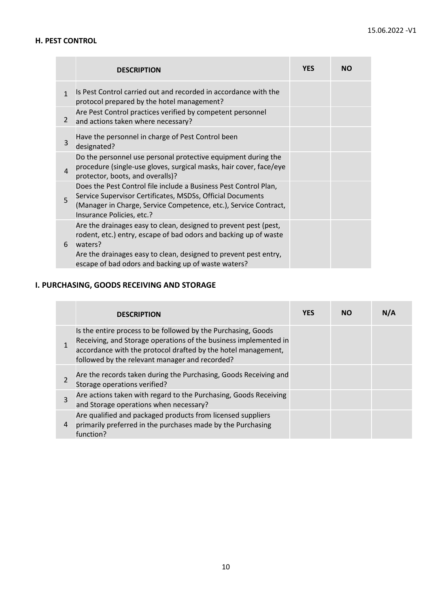## **H. PEST CONTROL**

|                | <b>DESCRIPTION</b>                                                                                                                                                                                                                                                         | <b>YES</b> | <b>NO</b> |
|----------------|----------------------------------------------------------------------------------------------------------------------------------------------------------------------------------------------------------------------------------------------------------------------------|------------|-----------|
| $\mathbf{1}$   | Is Pest Control carried out and recorded in accordance with the<br>protocol prepared by the hotel management?                                                                                                                                                              |            |           |
| $\overline{2}$ | Are Pest Control practices verified by competent personnel<br>and actions taken where necessary?                                                                                                                                                                           |            |           |
| 3              | Have the personnel in charge of Pest Control been<br>designated?                                                                                                                                                                                                           |            |           |
| $\overline{4}$ | Do the personnel use personal protective equipment during the<br>procedure (single-use gloves, surgical masks, hair cover, face/eye<br>protector, boots, and overalls)?                                                                                                    |            |           |
| 5              | Does the Pest Control file include a Business Pest Control Plan,<br>Service Supervisor Certificates, MSDSs, Official Documents<br>(Manager in Charge, Service Competence, etc.), Service Contract,<br>Insurance Policies, etc.?                                            |            |           |
| 6              | Are the drainages easy to clean, designed to prevent pest (pest,<br>rodent, etc.) entry, escape of bad odors and backing up of waste<br>waters?<br>Are the drainages easy to clean, designed to prevent pest entry,<br>escape of bad odors and backing up of waste waters? |            |           |

# **I. PURCHASING, GOODS RECEIVING AND STORAGE**

|                | <b>DESCRIPTION</b>                                                                                                                                                                                                                                   | <b>YES</b> | NΟ | N/A |
|----------------|------------------------------------------------------------------------------------------------------------------------------------------------------------------------------------------------------------------------------------------------------|------------|----|-----|
|                | Is the entire process to be followed by the Purchasing, Goods<br>Receiving, and Storage operations of the business implemented in<br>accordance with the protocol drafted by the hotel management,<br>followed by the relevant manager and recorded? |            |    |     |
| $\mathfrak{p}$ | Are the records taken during the Purchasing, Goods Receiving and<br>Storage operations verified?                                                                                                                                                     |            |    |     |
| 3              | Are actions taken with regard to the Purchasing, Goods Receiving<br>and Storage operations when necessary?                                                                                                                                           |            |    |     |
|                | Are qualified and packaged products from licensed suppliers<br>primarily preferred in the purchases made by the Purchasing<br>function?                                                                                                              |            |    |     |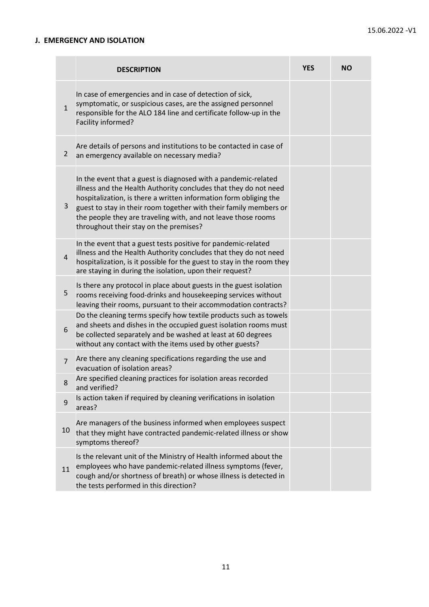## **J. EMERGENCY AND ISOLATION**

|                | <b>DESCRIPTION</b>                                                                                                                                                                                                                                                                                                                                                                      | <b>YES</b> | <b>NO</b> |
|----------------|-----------------------------------------------------------------------------------------------------------------------------------------------------------------------------------------------------------------------------------------------------------------------------------------------------------------------------------------------------------------------------------------|------------|-----------|
| $\mathbf{1}$   | In case of emergencies and in case of detection of sick,<br>symptomatic, or suspicious cases, are the assigned personnel<br>responsible for the ALO 184 line and certificate follow-up in the<br>Facility informed?                                                                                                                                                                     |            |           |
| $\overline{2}$ | Are details of persons and institutions to be contacted in case of<br>an emergency available on necessary media?                                                                                                                                                                                                                                                                        |            |           |
| 3              | In the event that a guest is diagnosed with a pandemic-related<br>illness and the Health Authority concludes that they do not need<br>hospitalization, is there a written information form obliging the<br>guest to stay in their room together with their family members or<br>the people they are traveling with, and not leave those rooms<br>throughout their stay on the premises? |            |           |
| 4              | In the event that a guest tests positive for pandemic-related<br>illness and the Health Authority concludes that they do not need<br>hospitalization, is it possible for the guest to stay in the room they<br>are staying in during the isolation, upon their request?                                                                                                                 |            |           |
| 5              | Is there any protocol in place about guests in the guest isolation<br>rooms receiving food-drinks and housekeeping services without<br>leaving their rooms, pursuant to their accommodation contracts?                                                                                                                                                                                  |            |           |
| 6              | Do the cleaning terms specify how textile products such as towels<br>and sheets and dishes in the occupied guest isolation rooms must<br>be collected separately and be washed at least at 60 degrees<br>without any contact with the items used by other guests?                                                                                                                       |            |           |
| $\overline{7}$ | Are there any cleaning specifications regarding the use and<br>evacuation of isolation areas?                                                                                                                                                                                                                                                                                           |            |           |
| 8              | Are specified cleaning practices for isolation areas recorded<br>and verified?                                                                                                                                                                                                                                                                                                          |            |           |
| 9              | Is action taken if required by cleaning verifications in isolation<br>areas?                                                                                                                                                                                                                                                                                                            |            |           |
| 10             | Are managers of the business informed when employees suspect<br>that they might have contracted pandemic-related illness or show<br>symptoms thereof?                                                                                                                                                                                                                                   |            |           |
| 11             | Is the relevant unit of the Ministry of Health informed about the<br>employees who have pandemic-related illness symptoms (fever,<br>cough and/or shortness of breath) or whose illness is detected in<br>the tests performed in this direction?                                                                                                                                        |            |           |